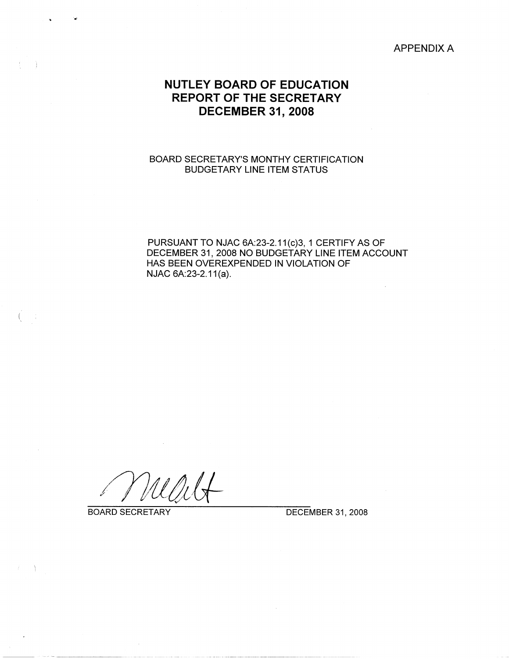APPENDIX A

# **NUTLEY BOARD OF EDUCATION REPORT OF THE SECRETARY DECEMBER 31, 2008**

## BOARD SECRETARY'S MONTHY CERTIFICATION BUDGETARY LINE ITEM STATUS

PURSUANT TO NJAC 6A:23-2.11(c)3, 1 CERTIFY AS OF DECEMBER 31, 2008 NO BUDGETARY LINE ITEM ACCOUNT HAS BEEN OVEREXPENDED IN VIOLATION OF NJAC 6A:23-2.11 (a).

.,

- 1

 $\{x_{i,j}\}_{i,j\in\mathbb{N}}$ 

BOARD SECRETARY DECEMBER 31, 2008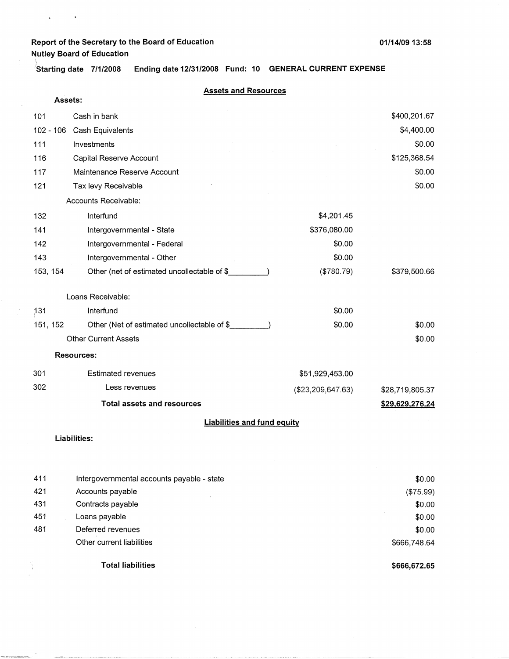$\mathbf{c} = \mathbf{c} \times \mathbf{c}$ 

 $\sim$   $\sim$  $\begin{array}{lll} \hline \textbf{1}_{\textbf{1}_{\textbf{1}_{\textbf{1}_{\textbf{1}_{\textbf{1}_{\textbf{1}_{\textbf{1}_{\textbf{1}_{\textbf{1}_{\textbf{1}_{\textbf{1}_{\textbf{1}_{\textbf{1}_{\textbf{1}_{\textbf{1}_{\textbf{1}_{\textbf{1}_{\textbf{1}}_{\textbf{1}_{\textbf{1}}_{\textbf{1}}_{\textbf{1}}_{\textbf{1}}_{\textbf{1}}}}}}}} \hline \textbf{1}_{\textbf{1}_{\textbf{1}_{\textbf{1}_{\textbf{1}}}}\textbf{1}_{\textbf{1}_{\textbf{1$ 

\ **'Starting date 7/1/2008 Ending date 12/31/2008 Fund: 10 GENERAL CURRENT EXPENSE** 

|             | <b>Assets and Resources</b>                 |                   |                 |
|-------------|---------------------------------------------|-------------------|-----------------|
| Assets:     |                                             |                   |                 |
| 101         | Cash in bank                                |                   | \$400,201.67    |
| $102 - 106$ | Cash Equivalents                            |                   | \$4,400.00      |
| 111         | Investments                                 |                   | \$0.00          |
| 116         | Capital Reserve Account                     |                   | \$125,368.54    |
| 117         | Maintenance Reserve Account                 |                   | \$0.00          |
| 121         | Tax levy Receivable                         |                   | \$0.00          |
|             | Accounts Receivable:                        |                   |                 |
| 132         | Interfund                                   | \$4,201.45        |                 |
| 141         | Intergovernmental - State                   | \$376,080.00      |                 |
| 142         | Intergovernmental - Federal                 | \$0.00            |                 |
| 143         | Intergovernmental - Other                   | \$0.00            |                 |
| 153, 154    | Other (net of estimated uncollectable of \$ | (\$780.79)        | \$379,500.66    |
|             | Loans Receivable:                           |                   |                 |
| 131         | Interfund                                   | \$0.00            |                 |
| 151, 152    | Other (Net of estimated uncollectable of \$ | \$0.00            | \$0.00          |
|             | <b>Other Current Assets</b>                 |                   | \$0.00          |
|             | <b>Resources:</b>                           |                   |                 |
| 301         | <b>Estimated revenues</b>                   | \$51,929,453.00   |                 |
| 302         | Less revenues                               | (\$23,209,647.63) | \$28,719,805.37 |
|             | <b>Total assets and resources</b>           |                   | \$29,629,276.24 |
|             | <b>Liabilities and fund equity</b>          |                   |                 |
|             | Liabilities:                                |                   |                 |

|     | <b>Total liabilities</b>                   | \$666,672.65 |
|-----|--------------------------------------------|--------------|
|     | Other current liabilities                  | \$666,748.64 |
| 481 | Deferred revenues                          | \$0.00       |
| 451 | Loans payable                              | \$0.00       |
| 431 | Contracts payable                          | \$0.00       |
| 421 | Accounts payable                           | (\$75.99)    |
| 411 | Intergovernmental accounts payable - state | \$0.00       |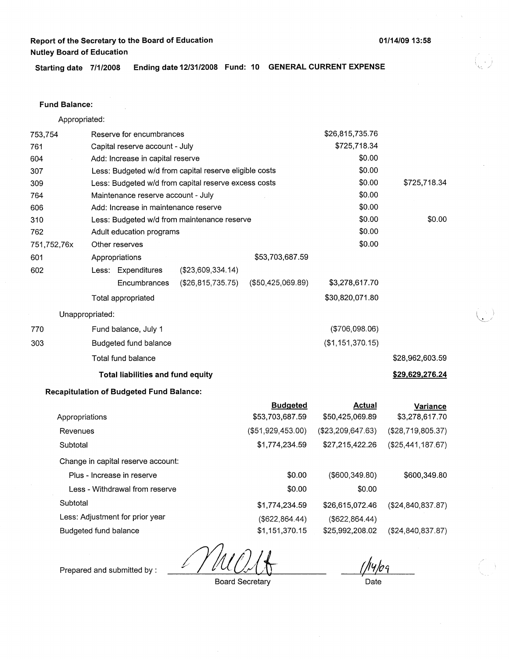**Starting date 7/1/2008 Ending date 12/31/2008 Fund: 10 GENERAL CURRENT EXPENSE** 

#### **Fund Balance:**

Appropriated:

| 753,754     |                                | Reserve for encumbrances                        |                                                        |                   | \$26,815,735.76   |                     |
|-------------|--------------------------------|-------------------------------------------------|--------------------------------------------------------|-------------------|-------------------|---------------------|
| 761         | Capital reserve account - July |                                                 |                                                        |                   | \$725,718.34      |                     |
| 604         |                                | Add: Increase in capital reserve                |                                                        |                   | \$0.00            |                     |
| 307         |                                |                                                 | Less: Budgeted w/d from capital reserve eligible costs |                   | \$0.00            |                     |
| 309         |                                |                                                 | Less: Budgeted w/d from capital reserve excess costs   |                   | \$0.00            | \$725,718.34        |
| 764         |                                | Maintenance reserve account - July              |                                                        |                   | \$0.00            |                     |
| 606         |                                | Add: Increase in maintenance reserve            |                                                        |                   | \$0.00            |                     |
| 310         |                                |                                                 | Less: Budgeted w/d from maintenance reserve            |                   | \$0.00            | \$0.00              |
| 762         |                                | Adult education programs                        |                                                        |                   | \$0.00            |                     |
| 751,752,76x |                                | Other reserves                                  |                                                        |                   | \$0.00            |                     |
| 601         |                                | Appropriations                                  |                                                        | \$53,703,687.59   |                   |                     |
| 602         |                                | Less: Expenditures                              | (\$23,609,334.14)                                      |                   |                   |                     |
|             |                                | Encumbrances                                    | (\$26,815,735.75)                                      | (\$50,425,069.89) | \$3,278,617.70    |                     |
|             |                                | Total appropriated                              |                                                        |                   | \$30,820,071.80   |                     |
|             | Unappropriated:                |                                                 |                                                        |                   |                   |                     |
| 770         |                                | Fund balance, July 1                            |                                                        |                   | ( \$706,098.06)   |                     |
| 303         |                                | Budgeted fund balance                           |                                                        |                   | (\$1,151,370.15)  |                     |
|             |                                | Total fund balance                              |                                                        |                   |                   | \$28,962,603.59     |
|             |                                | Total liabilities and fund equity               |                                                        |                   |                   | \$29,629,276.24     |
|             |                                | <b>Recapitulation of Budgeted Fund Balance:</b> |                                                        |                   |                   |                     |
|             |                                |                                                 |                                                        | <b>Budgeted</b>   | <b>Actual</b>     | <b>Variance</b>     |
|             | Appropriations                 |                                                 |                                                        | \$53,703,687.59   | \$50,425,069.89   | \$3,278,617.70      |
| Revenues    |                                |                                                 |                                                        | (\$51,929,453.00) | (\$23,209,647.63) | (\$28,719,805.37)   |
| Subtotal    |                                |                                                 |                                                        | \$1,774,234.59    | \$27,215,422.26   | (\$25,441,187.67)   |
|             |                                | Change in capital reserve account:              |                                                        |                   |                   |                     |
|             |                                | Plus - Increase in reserve                      |                                                        | \$0.00            | $($ \$600,349.80) | \$600,349.80        |
|             |                                | Less - Withdrawal from reserve                  |                                                        | \$0.00            | \$0.00            |                     |
| Subtotal    |                                |                                                 |                                                        | \$1,774,234.59    | \$26,615,072.46   | (\$24,840,837.87)   |
|             |                                | Less: Adjustment for prior year                 |                                                        | (\$622, 864.44)   | (\$622, 864.44)   |                     |
|             | Budgeted fund balance          |                                                 |                                                        | \$1,151,370.15    | \$25,992,208.02   | (\$24, 840, 837.87) |
|             |                                |                                                 |                                                        |                   |                   |                     |

₽

14/os Date

Prepared and submitted by :

Board Secretary

**01/14/0913:58** 

/

*~-)*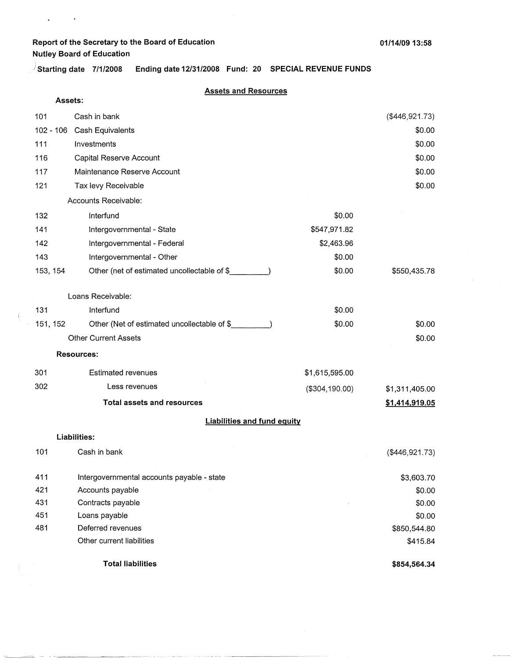$\mathbf{q} = \mathbf{q} \times \mathbf{q}$  ,  $\mathbf{q} \times \mathbf{q}$ 

 $\frac{1}{2}$ 

J **Starting date 7/1/2008 Ending date 12/31/2008 Fund: 20 SPECIAL REVENUE FUNDS** 

## **Assets and Resources**

| Assets:     |                                             |                |                 |
|-------------|---------------------------------------------|----------------|-----------------|
| 101         | Cash in bank                                |                | (\$446,921.73)  |
| $102 - 106$ | Cash Equivalents                            |                | \$0.00          |
| 111         | Investments                                 |                | \$0.00          |
| 116         | Capital Reserve Account                     |                | \$0.00          |
| 117         | Maintenance Reserve Account                 |                | \$0.00          |
| 121         | Tax levy Receivable                         |                | \$0.00          |
|             | Accounts Receivable:                        |                |                 |
| 132         | Interfund                                   | \$0.00         |                 |
| 141         | Intergovernmental - State                   | \$547,971.82   |                 |
| 142         | Intergovernmental - Federal                 | \$2,463.96     |                 |
| 143         | Intergovernmental - Other                   | \$0.00         |                 |
| 153, 154    | Other (net of estimated uncollectable of \$ | \$0.00         | \$550,435.78    |
|             |                                             |                |                 |
|             | Loans Receivable:                           |                |                 |
| 131         | Interfund                                   | \$0.00         |                 |
| 151, 152    | Other (Net of estimated uncollectable of \$ | \$0.00         | \$0.00          |
|             | <b>Other Current Assets</b>                 |                | \$0.00          |
|             | <b>Resources:</b>                           |                |                 |
| 301         | <b>Estimated revenues</b>                   | \$1,615,595.00 |                 |
| 302         | Less revenues                               | (\$304,190.00) | \$1,311,405.00  |
|             | <b>Total assets and resources</b>           |                | \$1,414,919.05  |
|             | <b>Liabilities and fund equity</b>          |                |                 |
|             | Liabilities:                                |                |                 |
| 101         | Cash in bank                                |                | $(*446,921.73)$ |
| 411         | Intergovernmental accounts payable - state  |                | \$3,603.70      |
| 421         | Accounts payable                            |                | \$0.00          |
| 431         | Contracts payable                           |                | \$0.00          |
| 451         | Loans payable                               |                | \$0.00          |
| 481         | Deferred revenues                           |                | \$850,544.80    |
|             | Other current liabilities                   |                | \$415.84        |
|             | <b>Total liabilities</b>                    |                | \$854,564.34    |

**The Secretary Construction**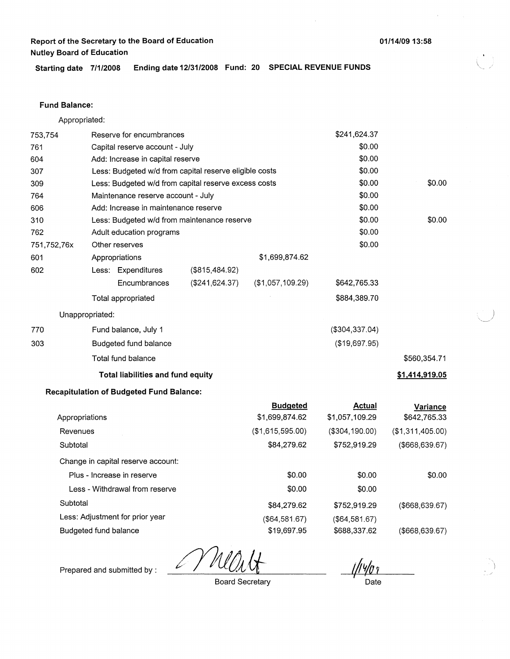**Starting date 7/1/2008 Ending date 12/31/2008 Fund: 20 SPECIAL REVENUE FUNDS** 

#### **Fund Balance:**

753,754 761 604 Appropriated: Reserve for encumbrances Capital reserve account - July Add: Increase in capital reserve 307 309 764 Less: Budgeted w/d from capital reserve eligible costs Less: Budgeted w/d from capital reserve excess costs Maintenance reserve account - July 606 Add: Increase in maintenance reserve 310 762 751,752,76x 601 Less: Budgeted w/d from maintenance reserve Adult education programs Other reserves Appropriations 602 770 303 Less: Expenditures **Encumbrances** Total appropriated Unappropriated: Fund balance, July 1 Budgeted fund balance Total fund balance (\$815,484.92) (\$241,624.37) **Total liabilities and fund equity Recapitulation of Budgeted Fund Balance:**  \$1,699,874.62 (\$1,057,109.29) \$241,624.37 \$0.00 \$0.00 \$0.00 \$0.00 \$0.00 \$0.00 \$0.00 \$0.00 \$0.00 \$642,765.33 \$884,389.70 (\$304,337.04) (\$19,697.95) \$560,354.71 **\$1.414,919.05** 

|                                    | <b>Budgeted</b>  | Actual         | Variance         |
|------------------------------------|------------------|----------------|------------------|
| Appropriations                     | \$1,699,874.62   | \$1,057,109.29 | \$642,765.33     |
| Revenues                           | (\$1,615,595.00) | (\$304,190.00) | (\$1,311,405.00) |
| Subtotal                           | \$84,279.62      | \$752,919.29   | (\$668,639.67)   |
| Change in capital reserve account: |                  |                |                  |
| Plus - Increase in reserve         | \$0.00           | \$0.00         | \$0.00           |
| Less - Withdrawal from reserve     | \$0.00           | \$0.00         |                  |
| Subtotal                           | \$84,279.62      | \$752,919.29   | (\$668,639.67)   |
| Less: Adjustment for prior year    | (\$64,581.67)    | (\$64,581.67)  |                  |
| Budgeted fund balance              | \$19,697.95      | \$688,337.62   | (\$668,639.67)   |

Prepared and submitted by :

Board Secretary

Date

**01/14/09 13:58** 

\$0.00

\$0.00

 $\bigcup$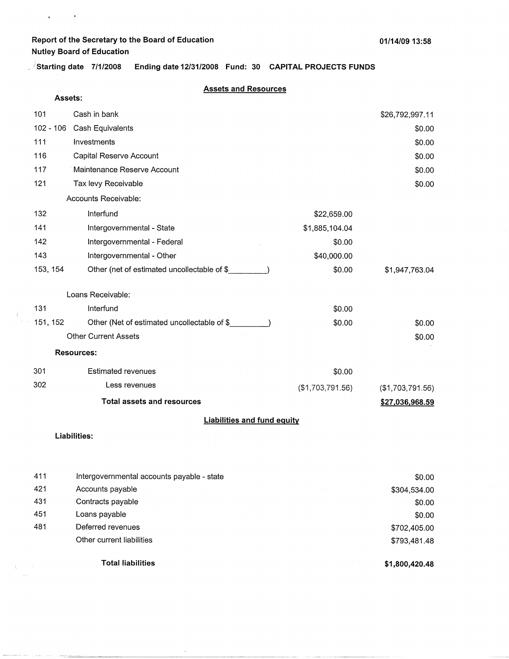**Assets:** 

 $\mathbf{v} = \mathbf{v} \times \mathbf{v}$ 

\_ **)starting date 7/1/2008 Ending date 12/31/2008 Fund: 30 CAPITAL PROJECTS FUNDS** 

#### **Assets and Resources**

| 101         | Cash in bank                                |                  | \$26,792,997.11  |
|-------------|---------------------------------------------|------------------|------------------|
| $102 - 106$ | Cash Equivalents                            |                  | \$0.00           |
| 111         | Investments                                 |                  | \$0.00           |
| 116         | Capital Reserve Account                     |                  | \$0.00           |
| 117         | Maintenance Reserve Account                 |                  | \$0.00           |
| 121         | Tax levy Receivable                         |                  | \$0.00           |
|             | Accounts Receivable:                        |                  |                  |
| 132         | Interfund                                   | \$22,659.00      |                  |
| 141         | Intergovernmental - State                   | \$1,885,104.04   |                  |
| 142         | Intergovernmental - Federal                 | \$0.00           |                  |
| 143         | Intergovernmental - Other                   | \$40,000.00      |                  |
| 153, 154    | Other (net of estimated uncollectable of \$ | \$0.00           | \$1,947,763.04   |
|             | Loans Receivable:                           |                  |                  |
| 131         | Interfund                                   | \$0.00           |                  |
| 151, 152    | Other (Net of estimated uncollectable of \$ | \$0.00           | \$0.00           |
|             | <b>Other Current Assets</b>                 |                  | \$0.00           |
|             | <b>Resources:</b>                           |                  |                  |
| 301         | <b>Estimated revenues</b>                   | \$0.00           |                  |
| 302         | Less revenues                               | (\$1,703,791.56) | (\$1,703,791.56) |
|             | <b>Total assets and resources</b>           |                  | \$27,036,968.59  |
|             | <b>Liabilities and fund equity</b>          |                  |                  |

#### **Liabilities:**

 $\hat{\mathbf{t}}$ i.

de en composições

|     | <b>Total liabilities</b>                   | \$1,800,420.48 |
|-----|--------------------------------------------|----------------|
|     | Other current liabilities                  | \$793,481.48   |
| 481 | Deferred revenues                          | \$702,405.00   |
| 451 | Loans payable                              | \$0.00         |
| 431 | Contracts payable                          | \$0.00         |
| 421 | Accounts payable                           | \$304,534.00   |
| 411 | Intergovernmental accounts payable - state | \$0.00         |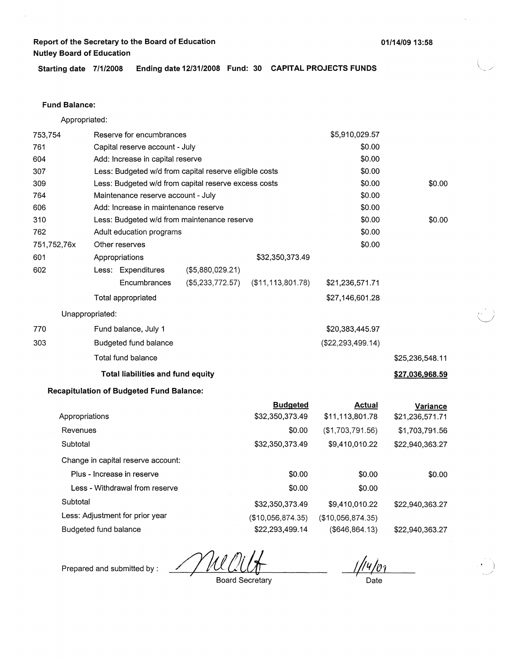**Starting date 7/1/2008 Ending date 12/31/2008 Fund: 30 CAPITAL PROJECTS FUNDS** 

#### **Fund Balance:**

Appropriated:

| 753,754               | Reserve for encumbrances                        |                                                        |                     | \$5,910,029.57      |                 |
|-----------------------|-------------------------------------------------|--------------------------------------------------------|---------------------|---------------------|-----------------|
| 761                   | Capital reserve account - July                  |                                                        |                     | \$0.00              |                 |
| 604                   | Add: Increase in capital reserve                |                                                        |                     | \$0.00              |                 |
| 307                   |                                                 | Less: Budgeted w/d from capital reserve eligible costs |                     | \$0.00              |                 |
| 309                   |                                                 | Less: Budgeted w/d from capital reserve excess costs   |                     | \$0.00              | \$0.00          |
| 764                   | Maintenance reserve account - July              |                                                        |                     | \$0.00              |                 |
| 606                   | Add: Increase in maintenance reserve            |                                                        |                     | \$0.00              |                 |
| 310                   |                                                 | Less: Budgeted w/d from maintenance reserve            |                     | \$0.00              | \$0.00          |
| 762                   | Adult education programs                        |                                                        |                     | \$0.00              |                 |
| 751,752,76x           | Other reserves                                  |                                                        |                     | \$0.00              |                 |
| 601                   | Appropriations                                  |                                                        | \$32,350,373.49     |                     |                 |
| 602                   | Less: Expenditures                              | (\$5,880,029.21)                                       |                     |                     |                 |
|                       | Encumbrances                                    | (\$5,233,772.57)                                       | (\$11, 113, 801.78) | \$21,236,571.71     |                 |
|                       | Total appropriated                              |                                                        |                     | \$27,146,601.28     |                 |
| Unappropriated:       |                                                 |                                                        |                     |                     |                 |
| 770                   | Fund balance, July 1                            |                                                        |                     | \$20,383,445.97     |                 |
| 303                   | Budgeted fund balance                           |                                                        |                     | (\$22, 293, 499.14) |                 |
|                       | Total fund balance                              |                                                        |                     |                     | \$25,236,548.11 |
|                       | Total liabilities and fund equity               |                                                        |                     |                     | \$27,036,968.59 |
|                       | <b>Recapitulation of Budgeted Fund Balance:</b> |                                                        |                     |                     |                 |
|                       |                                                 |                                                        | <b>Budgeted</b>     | <b>Actual</b>       | Variance        |
| Appropriations        |                                                 |                                                        | \$32,350,373.49     | \$11,113,801.78     | \$21,236,571.71 |
| Revenues              |                                                 |                                                        | \$0.00              | (\$1,703,791.56)    | \$1,703,791.56  |
| Subtotal              |                                                 |                                                        | \$32,350,373.49     | \$9,410,010.22      | \$22,940,363.27 |
|                       | Change in capital reserve account:              |                                                        |                     |                     |                 |
|                       | Plus - Increase in reserve                      |                                                        | \$0.00              | \$0.00              | \$0.00          |
|                       | Less - Withdrawal from reserve                  |                                                        | \$0.00              | \$0.00              |                 |
| Subtotal              |                                                 |                                                        | \$32,350,373.49     | \$9,410,010.22      | \$22,940,363.27 |
|                       | Less: Adjustment for prior year                 |                                                        | (\$10,056,874.35)   | (\$10,056,874.35)   |                 |
| Budgeted fund balance |                                                 |                                                        | \$22,293,499.14     | $($ \$646,864.13)   | \$22,940,363.27 |

<u>Y MI</u>

Prepared and submitted by :

Board Secretary

Date

**01/14/09 13:58**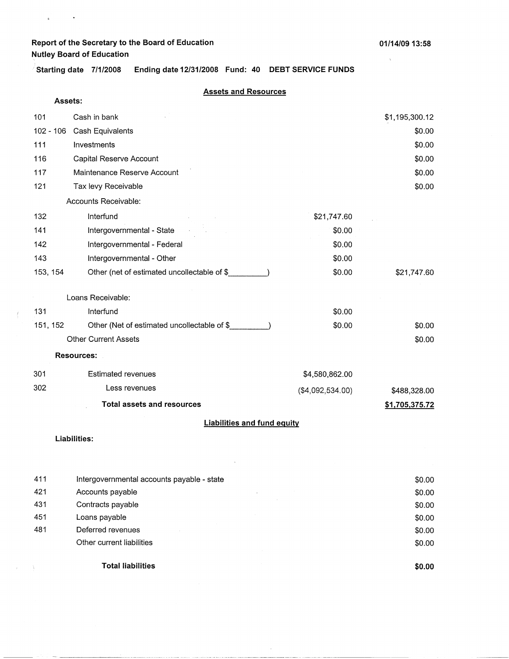$\mathfrak{g}^{\pm}$  and  $\mathfrak{g}^{\pm}$ 

ţ

 $\backslash$ 

 $\mathbf{r}$ 

**'Starting date 7/1/2008 Ending date 12/31/2008 Fund: 40 DEBT SERVICE FUNDS** 

#### **Assets and Resources**

| Assets:   |                                             |                  |                |
|-----------|---------------------------------------------|------------------|----------------|
| 101       | Cash in bank                                |                  | \$1,195,300.12 |
| 102 - 106 | Cash Equivalents                            |                  | \$0.00         |
| 111       | Investments                                 |                  | \$0.00         |
| 116       | Capital Reserve Account                     |                  | \$0.00         |
| 117       | Maintenance Reserve Account                 |                  | \$0.00         |
| 121       | Tax levy Receivable                         |                  | \$0.00         |
|           | Accounts Receivable:                        |                  |                |
| 132       | Interfund                                   | \$21,747.60      |                |
| 141       | Intergovernmental - State                   | \$0.00           |                |
| 142       | Intergovernmental - Federal                 | \$0.00           |                |
| 143       | Intergovernmental - Other                   | \$0.00           |                |
| 153, 154  | Other (net of estimated uncollectable of \$ | \$0.00           | \$21,747.60    |
|           | Loans Receivable:                           |                  |                |
| 131       | Interfund                                   | \$0.00           |                |
| 151, 152  | Other (Net of estimated uncollectable of \$ | \$0.00           | \$0.00         |
|           | <b>Other Current Assets</b>                 |                  | \$0.00         |
|           | <b>Resources:</b>                           |                  |                |
| 301       | <b>Estimated revenues</b>                   | \$4,580,862.00   |                |
| 302       | Less revenues                               | (\$4,092,534.00) | \$488,328.00   |
|           | <b>Total assets and resources</b>           |                  | \$1,705,375.72 |
|           | <b>Liabilities and fund equity</b>          |                  |                |
|           | Liabilities:                                |                  |                |
|           |                                             |                  |                |
| 411       | Intergovernmental accounts payable - state  |                  | \$0.00         |
| 421       | Accounts payable                            |                  | \$0.00         |
| 431       | Contracts payable                           |                  | \$0.00         |
| 451       | Loans payable                               |                  | \$0.00         |
| 481       | Deferred revenues                           |                  | \$0.00         |

**Total liabilities** 

··-· --··-·----·-----~ ---·---·------·----------·- --·-----·---------

 $\bar{z}$ 

Other current liabilities

**\$0.00** 

\$0.00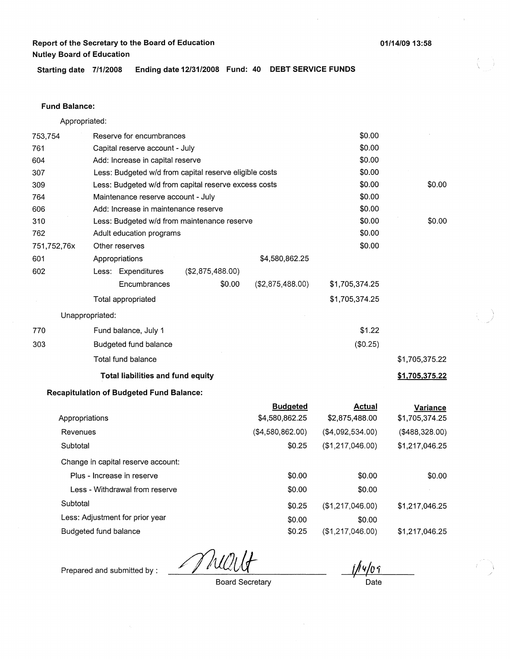**Starting date 7/1/2008 Ending date 12/31/2008 Fund: 40 DEBT SERVICE FUNDS** 

#### **Fund Balance:**

753,754 761 604 Appropriated: Reserve for encumbrances Capital reserve account - July Add: Increase in capital reserve 307 309 764 Less: Budgeted w/d from capital reserve eligible costs Less: Budgeted w/d from capital reserve excess costs Maintenance reserve account - July 606 Add: Increase in maintenance reserve 310 762 751,752,76x 601 Less: Budgeted w/d from maintenance reserve Adult education programs Other reserves Appropriations 602 770 303 Less: Expenditures **Encumbrances** Total appropriated Unappropriated: Fund balance, July 1 Budgeted fund balance Total fund balance (\$2,875,488.00) \$0.00 **Total liabilities and fund equity Recapitulation of Budgeted Fund Balance:**  \$4,580,862.25 (\$2,875,488.00) **Budgeted**  \$0.00 \$0.00 \$0.00 \$0.00 \$0.00 \$0.00 \$0.00 \$0.00 \$0.00 \$0.00 \$1,705,374.25 \$1,705,374.25 \$1.22 (\$0.25) **Actual**  \$0.00 \$0.00 \$1,705,375.22 **\$1,705,375.22 Variance** 

| Appropriations                     | \$4,580,862.25   | \$2,875,488.00    | \$1,705,374.25 |
|------------------------------------|------------------|-------------------|----------------|
| Revenues                           | (\$4,580,862.00) | ( \$4,092,534.00) | (\$488,328.00) |
| Subtotal                           | \$0.25           | (\$1,217,046.00)  | \$1,217,046.25 |
| Change in capital reserve account: |                  |                   |                |
| Plus - Increase in reserve         | \$0.00           | \$0.00            | \$0.00         |
| Less - Withdrawal from reserve     | \$0.00           | \$0.00            |                |
| Subtotal                           | \$0.25           | (\$1,217,046.00)  | \$1,217,046.25 |
| Less: Adjustment for prior year    | \$0.00           | \$0.00            |                |
| Budgeted fund balance              | \$0.25           | (\$1,217,046.00)  | \$1,217,046.25 |

MW

Prepared and submitted by :

Board Secretary

Date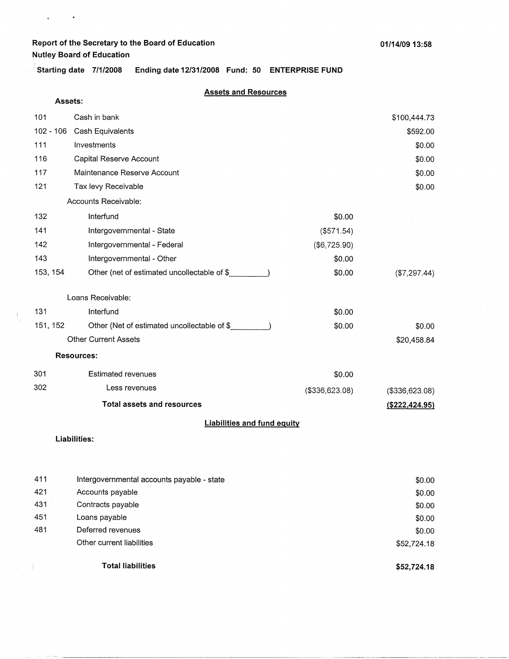# **Report of the Secretary to the Board of Education**

**Nutley Board of Education** 

 $\mathbf{g}^{\dagger}$  and  $\mathbf{g}^{\dagger}$ 

**Starting date 7/1/2008 Ending date 12/31/2008 Fund: 50 ENTERPRISE FUND** 

#### **Assets and Resources**

| Assets:     |                                                    |                |                  |
|-------------|----------------------------------------------------|----------------|------------------|
| 101         | Cash in bank                                       |                | \$100,444.73     |
| $102 - 106$ | Cash Equivalents                                   |                | \$592.00         |
| 111         | Investments                                        |                | \$0.00           |
| 116         | Capital Reserve Account                            |                | \$0.00           |
| 117         | Maintenance Reserve Account                        |                | \$0.00           |
| 121         | Tax levy Receivable                                |                | \$0.00           |
|             | Accounts Receivable:                               |                |                  |
| 132         | Interfund                                          | \$0.00         |                  |
| 141         | Intergovernmental - State                          | (\$571.54)     |                  |
| 142         | Intergovernmental - Federal                        | (\$6,725.90)   |                  |
| 143         | Intergovernmental - Other                          | \$0.00         |                  |
| 153, 154    | Other (net of estimated uncollectable of \$        | \$0.00         | (\$7,297.44)     |
|             | Loans Receivable:                                  |                |                  |
| .131        | Interfund                                          | \$0.00         |                  |
| 151, 152    | Other (Net of estimated uncollectable of \$        | \$0.00         | \$0.00           |
|             | <b>Other Current Assets</b>                        |                | \$20,458.84      |
|             | <b>Resources:</b>                                  |                |                  |
| 301         | <b>Estimated revenues</b>                          | \$0.00         |                  |
| 302         | Less revenues                                      | (\$336,623.08) | (\$336,623.08)   |
|             | <b>Total assets and resources</b>                  |                | ( \$222, 424.95) |
|             | <b>Liabilities and fund equity</b>                 |                |                  |
|             | $\mathbf{1}$ is the interactional for $\mathbf{1}$ |                |                  |

#### **Liabilities:**

|     | <b>Total liabilities</b>                   | \$52,724.18 |
|-----|--------------------------------------------|-------------|
|     | Other current liabilities                  | \$52,724.18 |
| 481 | Deferred revenues                          | \$0.00      |
| 451 | Loans payable                              | \$0.00      |
| 431 | Contracts payable                          | \$0.00      |
| 421 | Accounts payable                           | \$0.00      |
| 411 | Intergovernmental accounts payable - state | \$0.00      |
|     |                                            |             |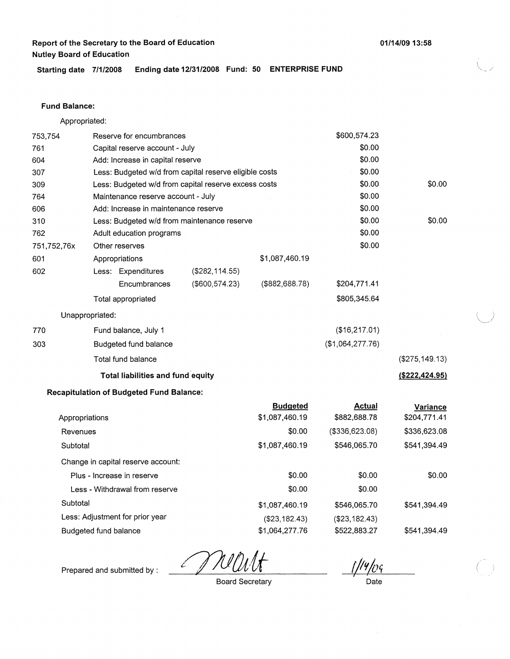**Starting date 7/1/2008 Ending date 12/31/2008 Fund: 50 ENTERPRISE FUND** 

#### **Fund Balance:**

Appropriated:

| 753,754               |                 | Reserve for encumbrances                        |                                                        |                                   | \$600,574.23                  |                          |
|-----------------------|-----------------|-------------------------------------------------|--------------------------------------------------------|-----------------------------------|-------------------------------|--------------------------|
| 761                   |                 | Capital reserve account - July                  |                                                        |                                   | \$0.00                        |                          |
| 604                   |                 | Add: Increase in capital reserve                |                                                        |                                   | \$0.00                        |                          |
| 307                   |                 |                                                 | Less: Budgeted w/d from capital reserve eligible costs |                                   | \$0.00                        |                          |
| 309                   |                 |                                                 | Less: Budgeted w/d from capital reserve excess costs   |                                   | \$0.00                        | \$0.00                   |
| 764                   |                 | Maintenance reserve account - July              |                                                        |                                   | \$0.00                        |                          |
| 606                   |                 | Add: Increase in maintenance reserve            |                                                        |                                   | \$0.00                        |                          |
| 310                   |                 |                                                 | Less: Budgeted w/d from maintenance reserve            |                                   | \$0.00                        | \$0.00                   |
| 762                   |                 | Adult education programs                        |                                                        |                                   | \$0.00                        |                          |
| 751,752,76x           |                 | Other reserves                                  |                                                        |                                   | \$0.00                        |                          |
| 601                   |                 | Appropriations                                  |                                                        | \$1,087,460.19                    |                               |                          |
| 602                   |                 | Less: Expenditures                              | (\$282, 114.55)                                        |                                   |                               |                          |
|                       |                 | Encumbrances                                    | $($ \$600,574.23)                                      | (\$882,688.78)                    | \$204,771.41                  |                          |
|                       |                 | Total appropriated                              |                                                        |                                   | \$805,345.64                  |                          |
|                       | Unappropriated: |                                                 |                                                        |                                   |                               |                          |
| 770                   |                 | Fund balance, July 1                            |                                                        |                                   | (\$16,217.01)                 |                          |
| 303                   |                 | Budgeted fund balance                           |                                                        |                                   | (\$1,064,277.76)              |                          |
|                       |                 | Total fund balance                              |                                                        |                                   |                               | (\$275, 149.13)          |
|                       |                 | Total liabilities and fund equity               |                                                        |                                   |                               | $($ \$222,424.95)        |
|                       |                 | <b>Recapitulation of Budgeted Fund Balance:</b> |                                                        |                                   |                               |                          |
| Appropriations        |                 |                                                 |                                                        | <b>Budgeted</b><br>\$1,087,460.19 | <b>Actual</b><br>\$882,688.78 | Variance<br>\$204,771.41 |
| Revenues              |                 |                                                 |                                                        | \$0.00                            | (\$336,623.08)                | \$336,623.08             |
| Subtotal              |                 |                                                 |                                                        | \$1,087,460.19                    | \$546,065.70                  | \$541,394.49             |
|                       |                 | Change in capital reserve account:              |                                                        |                                   |                               |                          |
|                       |                 | Plus - Increase in reserve                      |                                                        | \$0.00                            | \$0.00                        | \$0.00                   |
|                       |                 | Less - Withdrawal from reserve                  |                                                        | \$0.00                            | \$0.00                        |                          |
| Subtotal              |                 |                                                 |                                                        | \$1,087,460.19                    | \$546,065.70                  | \$541,394.49             |
|                       |                 | Less: Adjustment for prior year                 |                                                        | (\$23,182.43)                     | (\$23,182.43)                 |                          |
| Budgeted fund balance |                 |                                                 |                                                        | \$1,064,277.76                    | \$522,883.27                  | \$541,394.49             |

 $\mathcal{L}$ 

'n

Prepared and submitted by :

Board Secretary

Date

**01/14/09 13:58**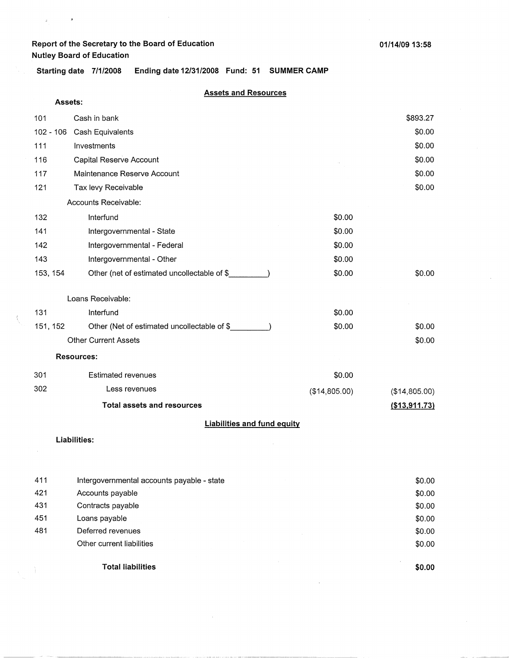Ü,

ä,

**Starting date 7/1/2008 Ending date 12/31/2008 Fund: 51 SUMMER CAMP** 

## **Assets and Resources**

| Assets:                            |                                             |               |               |  |
|------------------------------------|---------------------------------------------|---------------|---------------|--|
| 101                                | Cash in bank                                |               | \$893.27      |  |
| $102 - 106$                        | Cash Equivalents                            |               | \$0.00        |  |
| 111                                | Investments                                 |               | \$0.00        |  |
| 116                                | Capital Reserve Account                     |               | \$0.00        |  |
| 117                                | Maintenance Reserve Account                 |               | \$0.00        |  |
| 121                                | Tax levy Receivable                         |               | \$0.00        |  |
|                                    | Accounts Receivable:                        |               |               |  |
| 132                                | Interfund                                   | \$0.00        |               |  |
| 141                                | Intergovernmental - State                   | \$0.00        |               |  |
| 142                                | Intergovernmental - Federal                 | \$0.00        |               |  |
| 143                                | Intergovernmental - Other                   | \$0.00        |               |  |
| 153, 154                           | Other (net of estimated uncollectable of \$ | \$0.00        | \$0.00        |  |
|                                    | Loans Receivable:                           |               |               |  |
| 131                                | Interfund                                   | \$0.00        |               |  |
| 151, 152                           | Other (Net of estimated uncollectable of \$ | \$0.00        | \$0.00        |  |
|                                    | <b>Other Current Assets</b>                 |               | \$0.00        |  |
|                                    | <b>Resources:</b>                           |               |               |  |
| 301                                | <b>Estimated revenues</b>                   | \$0.00        |               |  |
| 302                                | Less revenues                               | (\$14,805.00) | (\$14,805.00) |  |
|                                    | <b>Total assets and resources</b>           |               | (\$13,911.73) |  |
| <b>Liabilities and fund equity</b> |                                             |               |               |  |
|                                    | Liabilities:                                |               |               |  |
|                                    |                                             |               |               |  |
| 411                                | Intergovernmental accounts payable - state  |               | \$0.00        |  |
| 421                                | Accounts payable                            |               | \$0.00        |  |

| 431 | Contracts payable         |
|-----|---------------------------|
| 451 | Loans payable             |
| 481 | Deferred revenues         |
|     | Other current liabilities |

**Total liabilities** 

- 1  $\lambda_{\rm{eff}}$ 

**\$0.00** 

\$0.00 \$0.00 \$0.00 \$0.00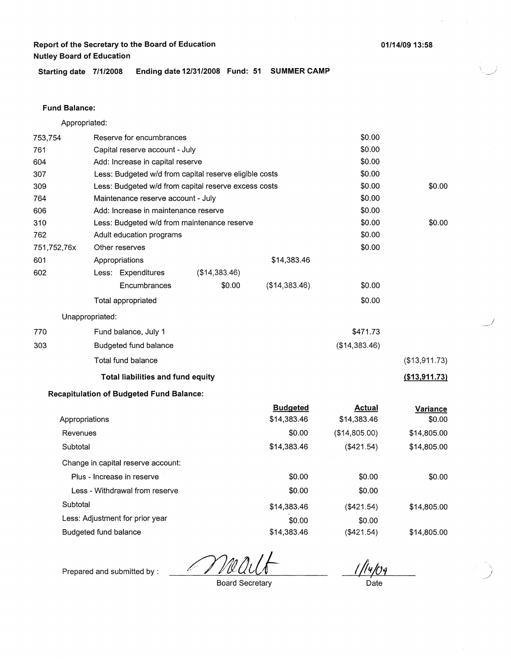**01/14/0913:58** 

**Starting date 7/1/2008 Ending date 12/31/2008 Fund: 51 SUMMER CAMP** 

#### **Fund Balance:**

753,754 761 604 Appropriated: Reserve for encumbrances Capital reserve account - July Add: Increase in capital reserve 307 309 764 Less: Budgeted w/d from capital reserve eligible costs Less: Budgeted w/d from capital reserve excess costs Maintenance reserve account - July 606 Add: Increase in maintenance reserve 310 762 751,752,76x 601 Less: Budgeted w/d from maintenance reserve Adult education programs Other reserves Appropriations 602 770 303 Less: Expenditures **Encumbrances** Total appropriated Unappropriated: Fund balance, July 1 Budgeted fund balance Total fund balance (\$14,383.46) \$0.00 **Total liabilities and fund equity Recapitulation of Budgeted Fund Balance:**  \$14,383.46 (\$14,383.46) \$0.00 \$0.00 \$0.00 \$0.00 \$0.00 \$0.00 \$0.00 \$0.00 \$0.00 \$0.00 \$0.00 \$0.00 \$471.73 (\$14,383.46) \$0.00 \$0.00 (\$13,911.73) **(\$13,911.73)** 

|                                    | <b>Budgeted</b> | <b>Actual</b>    | Variance    |
|------------------------------------|-----------------|------------------|-------------|
| Appropriations                     | \$14,383.46     | \$14,383.46      | \$0.00      |
| Revenues                           | \$0.00          | (\$14,805.00)    | \$14,805.00 |
| Subtotal                           | \$14,383.46     | (\$421.54)       | \$14,805.00 |
| Change in capital reserve account: |                 |                  |             |
| Plus - Increase in reserve         | \$0.00          | \$0.00           | \$0.00      |
| Less - Withdrawal from reserve     | \$0.00          | \$0.00           |             |
| Subtotal                           | \$14,383.46     | (\$421.54)       | \$14,805.00 |
| Less: Adjustment for prior year    | \$0.00          | \$0.00           |             |
| Budgeted fund balance              | \$14.383.46     | $($ \$421.54 $)$ | \$14,805.00 |
|                                    |                 |                  |             |

<u>llylog</u>

Prepared and submitted by :

Board Secretary

Date

 $\overline{\phantom{a}}$ *j* 

' *.. \_\_\_ ,)*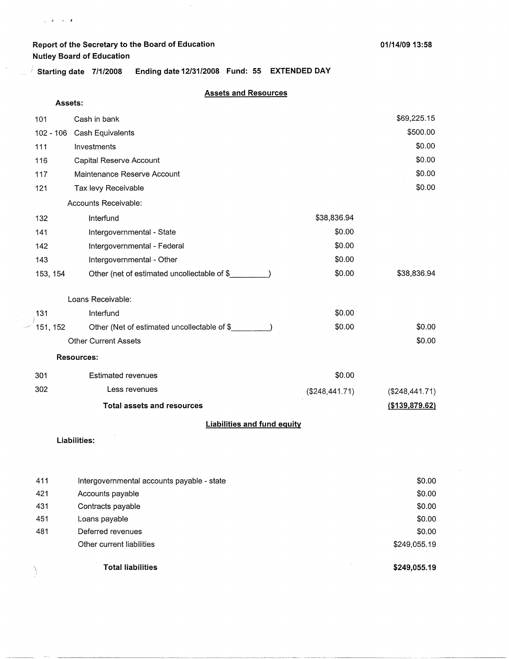,, ii • **:t.** 

**01/14/09 13:58** 

; **Starting date 7/1/2008 Ending date 12/31/2008 Fund: 55 EXTENDED DAY** 

#### **Assets and Resources**

| Assets:     |                                             |                |                  |
|-------------|---------------------------------------------|----------------|------------------|
| 101         | Cash in bank                                |                | \$69,225.15      |
| $102 - 106$ | Cash Equivalents                            |                | \$500.00         |
| 111         | Investments                                 |                | \$0.00           |
| 116         | Capital Reserve Account                     |                | \$0.00           |
| 117         | Maintenance Reserve Account                 |                | \$0.00           |
| 121         | Tax levy Receivable                         |                | \$0.00           |
|             | Accounts Receivable:                        |                |                  |
| 132         | Interfund                                   | \$38,836.94    |                  |
| 141         | Intergovernmental - State                   | \$0.00         |                  |
| 142         | Intergovernmental - Federal                 | \$0.00         |                  |
| 143         | Intergovernmental - Other                   | \$0.00         |                  |
| 153, 154    | Other (net of estimated uncollectable of \$ | \$0.00         | \$38,836.94      |
|             | Loans Receivable:                           |                |                  |
| 131         | Interfund                                   | \$0.00         |                  |
| 151, 152    | Other (Net of estimated uncollectable of \$ | \$0.00         | \$0.00           |
|             | <b>Other Current Assets</b>                 |                | \$0.00           |
|             | <b>Resources:</b>                           |                |                  |
| 301         | <b>Estimated revenues</b>                   | \$0.00         |                  |
| 302         | Less revenues                               | (\$248,441.71) | (\$248,441.71)   |
|             | <b>Total assets and resources</b>           |                | ( \$139, 879.62) |
|             | <b>Liabilities and fund equity</b>          |                |                  |

#### **Liabilities:**

|     | <b>Total liabilities</b>                   | \$249,055.19 |
|-----|--------------------------------------------|--------------|
|     | Other current liabilities                  | \$249,055.19 |
| 481 | Deferred revenues                          | \$0.00       |
| 451 | Loans payable                              | \$0.00       |
| 431 | Contracts payable                          | \$0.00       |
| 421 | Accounts payable                           | \$0.00       |
| 411 | Intergovernmental accounts payable - state | \$0.00       |